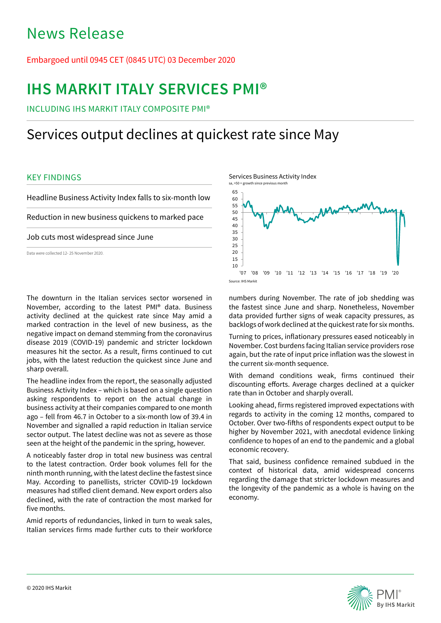# News Release

## Embargoed until 0945 CET (0845 UTC) 03 December 2020

# **IHS MARKIT ITALY SERVICES PMI®**

INCLUDING IHS MARKIT ITALY COMPOSITE PMI®

## Services output declines at quickest rate since May

### KEY FINDINGS

Headline Business Activity Index falls to six-month low Reduction in new business quickens to marked pace

Job cuts most widespread since June

Data were collected 12- 25 November 2020.

The downturn in the Italian services sector worsened in November, according to the latest PMI® data. Business activity declined at the quickest rate since May amid a marked contraction in the level of new business, as the negative impact on demand stemming from the coronavirus disease 2019 (COVID-19) pandemic and stricter lockdown measures hit the sector. As a result, firms continued to cut jobs, with the latest reduction the quickest since June and sharp overall.

The headline index from the report, the seasonally adjusted Business Activity Index – which is based on a single question asking respondents to report on the actual change in business activity at their companies compared to one month ago – fell from 46.7 in October to a six-month low of 39.4 in November and signalled a rapid reduction in Italian service sector output. The latest decline was not as severe as those seen at the height of the pandemic in the spring, however.

A noticeably faster drop in total new business was central to the latest contraction. Order book volumes fell for the ninth month running, with the latest decline the fastest since May. According to panellists, stricter COVID-19 lockdown measures had stifled client demand. New export orders also declined, with the rate of contraction the most marked for five months.

Amid reports of redundancies, linked in turn to weak sales, Italian services firms made further cuts to their workforce



numbers during November. The rate of job shedding was the fastest since June and sharp. Nonetheless, November data provided further signs of weak capacity pressures, as backlogs of work declined at the quickest rate for six months.

Turning to prices, inflationary pressures eased noticeably in November. Cost burdens facing Italian service providers rose again, but the rate of input price inflation was the slowest in the current six-month sequence.

With demand conditions weak, firms continued their discounting efforts. Average charges declined at a quicker rate than in October and sharply overall.

Looking ahead, firms registered improved expectations with regards to activity in the coming 12 months, compared to October. Over two-fifths of respondents expect output to be higher by November 2021, with anecdotal evidence linking confidence to hopes of an end to the pandemic and a global economic recovery.

That said, business confidence remained subdued in the context of historical data, amid widespread concerns regarding the damage that stricter lockdown measures and the longevity of the pandemic as a whole is having on the economy.

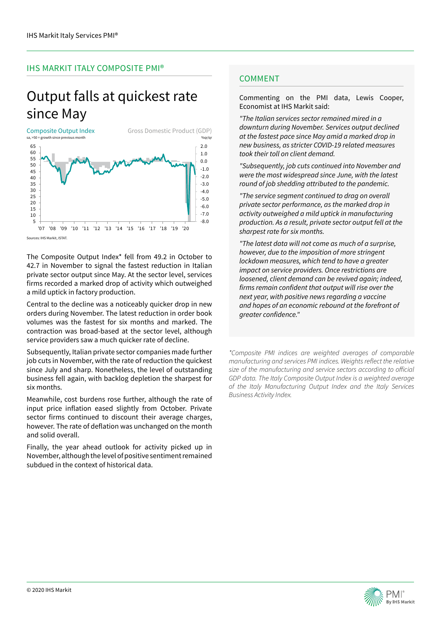## IHS MARKIT ITALY COMPOSITE PMI®

## Output falls at quickest rate since May



Sources: IHS Markit, ISTAT.

The Composite Output Index\* fell from 49.2 in October to 42.7 in November to signal the fastest reduction in Italian private sector output since May. At the sector level, services firms recorded a marked drop of activity which outweighed a mild uptick in factory production.

Central to the decline was a noticeably quicker drop in new orders during November. The latest reduction in order book volumes was the fastest for six months and marked. The contraction was broad-based at the sector level, although service providers saw a much quicker rate of decline.

Subsequently, Italian private sector companies made further job cuts in November, with the rate of reduction the quickest since July and sharp. Nonetheless, the level of outstanding business fell again, with backlog depletion the sharpest for six months.

Meanwhile, cost burdens rose further, although the rate of input price inflation eased slightly from October. Private sector firms continued to discount their average charges, however. The rate of deflation was unchanged on the month and solid overall.

Finally, the year ahead outlook for activity picked up in November, although the level of positive sentiment remained subdued in the context of historical data.

## **COMMENT**

Commenting on the PMI data, Lewis Cooper, Economist at IHS Markit said:

*"The Italian services sector remained mired in a downturn during November. Services output declined at the fastest pace since May amid a marked drop in new business, as stricter COVID-19 related measures took their toll on client demand.*

*"Subsequently, job cuts continued into November and were the most widespread since June, with the latest round of job shedding attributed to the pandemic.*

*"The service segment continued to drag on overall private sector performance, as the marked drop in activity outweighed a mild uptick in manufacturing production. As a result, private sector output fell at the sharpest rate for six months.* 

*"The latest data will not come as much of a surprise, however, due to the imposition of more stringent lockdown measures, which tend to have a greater impact on service providers. Once restrictions are loosened, client demand can be revived again; indeed,*  firms remain confident that output will rise over the *next year, with positive news regarding a vaccine and hopes of an economic rebound at the forefront of*  greater confidence."

*\*Composite PMI indices are weighted averages of comparable*  manufacturing and services PMI indices. Weights reflect the relative size of the manufacturing and service sectors according to official *GDP data. The Italy Composite Output Index is a weighted average of the Italy Manufacturing Output Index and the Italy Services Business Activity Index.*